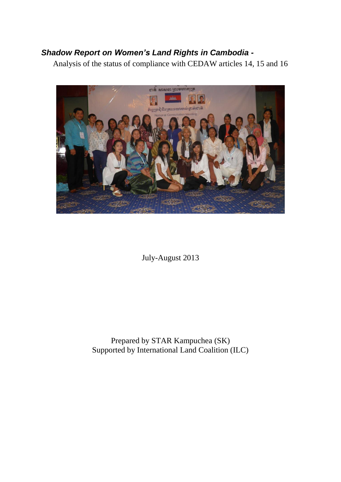# *Shadow Report on Women's Land Rights in Cambodia -*

Analysis of the status of compliance with CEDAW articles 14, 15 and 16



July-August 2013

Prepared by STAR Kampuchea (SK) Supported by International Land Coalition (ILC)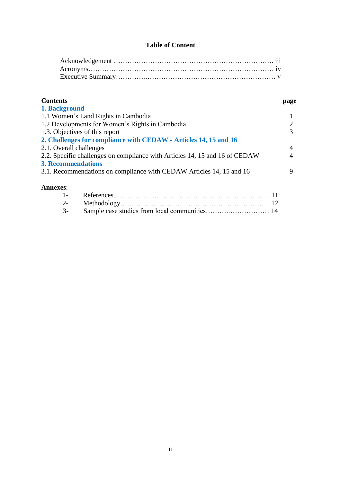# **Table of Content**

# **Contents page 1. Background** 1.1 Women's Land Rights in Cambodia 1 1.2 Developments for Women's Rights in Cambodia 2 1.3. Objectives of this report 3 **2. Challenges for compliance with CEDAW - Articles 14, 15 and 16** 2.1. Overall challenges 2.1. Overall challenges on compliance with Articles 14, 15 and 16 of CEDAW 4 2.2. Specific challenges on compliance with Articles 14, 15 and 16 of CEDAW 4 **3. Recommendations** 3.1. Recommendations on compliance with CEDAW Articles 14, 15 and 16 9 **Annexes**: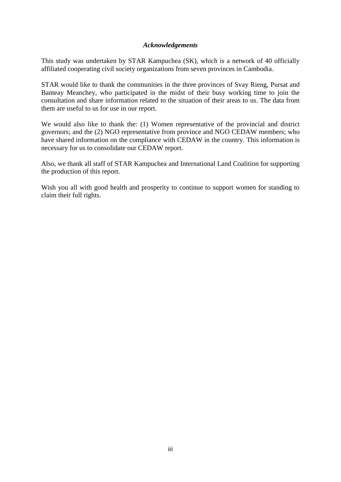#### *Acknowledgements*

This study was undertaken by STAR Kampuchea (SK), which is a network of 40 officially affiliated cooperating civil society organizations from seven provinces in Cambodia.

STAR would like to thank the communities in the three provinces of Svay Rieng, Pursat and Banteay Meanchey, who participated in the midst of their busy working time to join the consultation and share information related to the situation of their areas to us. The data from them are useful to us for use in our report.

We would also like to thank the: (1) Women representative of the provincial and district governors; and the (2) NGO representative from province and NGO CEDAW members; who have shared information on the compliance with CEDAW in the country. This information is necessary for us to consolidate our CEDAW report.

Also, we thank all staff of STAR Kampuchea and International Land Coalition for supporting the production of this report.

Wish you all with good health and prosperity to continue to support women for standing to claim their full rights.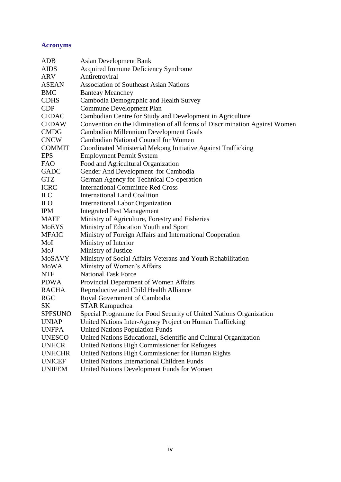# **Acronyms**

| <b>ADB</b>       | <b>Asian Development Bank</b>                                              |  |  |  |
|------------------|----------------------------------------------------------------------------|--|--|--|
| <b>AIDS</b>      | Acquired Immune Deficiency Syndrome                                        |  |  |  |
| ARV              | Antiretroviral                                                             |  |  |  |
| <b>ASEAN</b>     | <b>Association of Southeast Asian Nations</b>                              |  |  |  |
| <b>BMC</b>       | <b>Banteay Meanchey</b>                                                    |  |  |  |
| <b>CDHS</b>      | Cambodia Demographic and Health Survey                                     |  |  |  |
| <b>CDP</b>       | Commune Development Plan                                                   |  |  |  |
| <b>CEDAC</b>     | Cambodian Centre for Study and Development in Agriculture                  |  |  |  |
| <b>CEDAW</b>     | Convention on the Elimination of all forms of Discrimination Against Women |  |  |  |
| <b>CMDG</b>      | Cambodian Millennium Development Goals                                     |  |  |  |
| <b>CNCW</b>      | Cambodian National Council for Women                                       |  |  |  |
| <b>COMMIT</b>    | Coordinated Ministerial Mekong Initiative Against Trafficking              |  |  |  |
| <b>EPS</b>       | <b>Employment Permit System</b>                                            |  |  |  |
| <b>FAO</b>       | Food and Agricultural Organization                                         |  |  |  |
| <b>GADC</b>      | Gender And Development for Cambodia                                        |  |  |  |
| <b>GTZ</b>       | German Agency for Technical Co-operation                                   |  |  |  |
| <b>ICRC</b>      | <b>International Committee Red Cross</b>                                   |  |  |  |
| ILC              | <b>International Land Coalition</b>                                        |  |  |  |
| ILO <sub>.</sub> | <b>International Labor Organization</b>                                    |  |  |  |
| <b>IPM</b>       | <b>Integrated Pest Management</b>                                          |  |  |  |
| <b>MAFF</b>      | Ministry of Agriculture, Forestry and Fisheries                            |  |  |  |
| <b>MoEYS</b>     | Ministry of Education Youth and Sport                                      |  |  |  |
| <b>MFAIC</b>     | Ministry of Foreign Affairs and International Cooperation                  |  |  |  |
| MoI              | Ministry of Interior                                                       |  |  |  |
| MoJ              | Ministry of Justice                                                        |  |  |  |
| <b>MoSAVY</b>    | Ministry of Social Affairs Veterans and Youth Rehabilitation               |  |  |  |
| MoWA             | Ministry of Women's Affairs                                                |  |  |  |
| <b>NTF</b>       | <b>National Task Force</b>                                                 |  |  |  |
| <b>PDWA</b>      | Provincial Department of Women Affairs                                     |  |  |  |
| <b>RACHA</b>     | Reproductive and Child Health Alliance                                     |  |  |  |
| <b>RGC</b>       | Royal Government of Cambodia                                               |  |  |  |
| <b>SK</b>        | <b>STAR Kampuchea</b>                                                      |  |  |  |
| <b>SPFSUNO</b>   | Special Programme for Food Security of United Nations Organization         |  |  |  |
| <b>UNIAP</b>     | United Nations Inter-Agency Project on Human Trafficking                   |  |  |  |
| <b>UNFPA</b>     | <b>United Nations Population Funds</b>                                     |  |  |  |
| <b>UNESCO</b>    | United Nations Educational, Scientific and Cultural Organization           |  |  |  |
| <b>UNHCR</b>     | United Nations High Commissioner for Refugees                              |  |  |  |
| <b>UNHCHR</b>    | United Nations High Commissioner for Human Rights                          |  |  |  |
| <b>UNICEF</b>    | <b>United Nations International Children Funds</b>                         |  |  |  |
| <b>UNIFEM</b>    | United Nations Development Funds for Women                                 |  |  |  |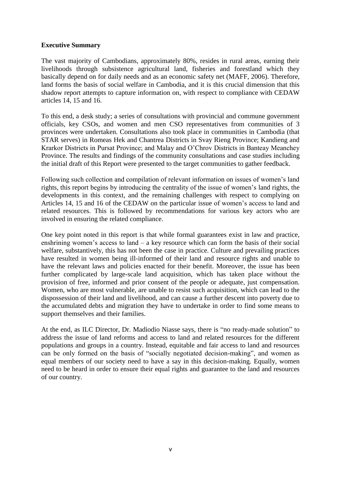#### **Executive Summary**

The vast majority of Cambodians, approximately 80%, resides in rural areas, earning their livelihoods through subsistence agricultural land, fisheries and forestland which they basically depend on for daily needs and as an economic safety net (MAFF, 2006). Therefore, land forms the basis of social welfare in Cambodia, and it is this crucial dimension that this shadow report attempts to capture information on, with respect to compliance with CEDAW articles 14, 15 and 16.

To this end, a desk study; a series of consultations with provincial and commune government officials, key CSOs, and women and men CSO representatives from communities of 3 provinces were undertaken. Consultations also took place in communities in Cambodia (that STAR serves) in Romeas Hek and Chantrea Districts in Svay Rieng Province; Kandieng and Krarkor Districts in Pursat Province; and Malay and O'Chrov Districts in Banteay Meanchey Province. The results and findings of the community consultations and case studies including the initial draft of this Report were presented to the target communities to gather feedback.

Following such collection and compilation of relevant information on issues of women's land rights, this report begins by introducing the centrality of the issue of women's land rights, the developments in this context, and the remaining challenges with respect to complying on Articles 14, 15 and 16 of the CEDAW on the particular issue of women's access to land and related resources. This is followed by recommendations for various key actors who are involved in ensuring the related compliance.

One key point noted in this report is that while formal guarantees exist in law and practice, enshrining women's access to land  $-$  a key resource which can form the basis of their social welfare, substantively, this has not been the case in practice. Culture and prevailing practices have resulted in women being ill-informed of their land and resource rights and unable to have the relevant laws and policies enacted for their benefit. Moreover, the issue has been further complicated by large-scale land acquisition, which has taken place without the provision of free, informed and prior consent of the people or adequate, just compensation. Women, who are most vulnerable, are unable to resist such acquisition, which can lead to the dispossession of their land and livelihood, and can cause a further descent into poverty due to the accumulated debts and migration they have to undertake in order to find some means to support themselves and their families.

At the end, as ILC Director, Dr. Madiodio Niasse says, there is "no ready-made solution" to address the issue of land reforms and access to land and related resources for the different populations and groups in a country. Instead, equitable and fair access to land and resources can be only formed on the basis of "socially negotiated decision-making", and women as equal members of our society need to have a say in this decision-making. Equally, women need to be heard in order to ensure their equal rights and guarantee to the land and resources of our country.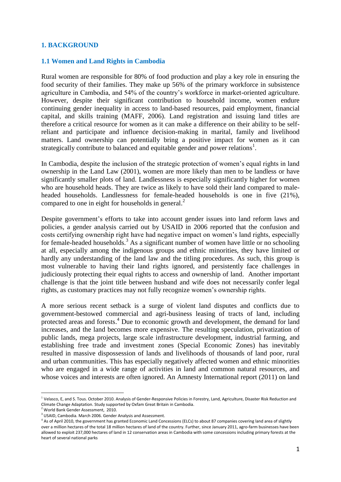#### **1. BACKGROUND**

#### **1.1 Women and Land Rights in Cambodia**

Rural women are responsible for 80% of food production and play a key role in ensuring the food security of their families. They make up 56% of the primary workforce in subsistence agriculture in Cambodia, and 54% of the country's workforce in market-oriented agriculture. However, despite their significant contribution to household income, women endure continuing gender inequality in access to land-based resources, paid employment, financial capital, and skills training (MAFF, 2006). Land registration and issuing land titles are therefore a critical resource for women as it can make a difference on their ability to be selfreliant and participate and influence decision-making in marital, family and livelihood matters. Land ownership can potentially bring a positive impact for women as it can strategically contribute to balanced and equitable gender and power relations<sup>1</sup>.

In Cambodia, despite the inclusion of the strategic protection of women's equal rights in land ownership in the Land Law (2001), women are more likely than men to be landless or have significantly smaller plots of land. Landlessness is especially significantly higher for women who are household heads. They are twice as likely to have sold their land compared to maleheaded households. Landlessness for female-headed households is one in five (21%), compared to one in eight for households in general. $<sup>2</sup>$ </sup>

Despite government's efforts to take into account gender issues into land reform laws and policies, a gender analysis carried out by USAID in 2006 reported that the confusion and costs certifying ownership right have had negative impact on women's land rights, especially for female-headed households.<sup>3</sup> As a significant number of women have little or no schooling at all, especially among the indigenous groups and ethnic minorities, they have limited or hardly any understanding of the land law and the titling procedures. As such, this group is most vulnerable to having their land rights ignored, and persistently face challenges in judiciously protecting their equal rights to access and ownership of land. Another important challenge is that the joint title between husband and wife does not necessarily confer legal rights, as customary practices may not fully recognize women's ownership rights.

A more serious recent setback is a surge of violent land disputes and conflicts due to government-bestowed commercial and agri-business leasing of tracts of land, including protected areas and forests. <sup>4</sup> Due to economic growth and development, the demand for land increases, and the land becomes more expensive. The resulting speculation, privatization of public lands, mega projects, large scale infrastructure development, industrial farming, and establishing free trade and investment zones (Special Economic Zones) has inevitably resulted in massive dispossession of lands and livelihoods of thousands of land poor, rural and urban communities. This has especially negatively affected women and ethnic minorities who are engaged in a wide range of activities in land and common natural resources, and whose voices and interests are often ignored. An Amnesty International report (2011) on land

-

<sup>&</sup>lt;sup>1</sup> Velasco, E, and S. Tous. October 2010. Analysis of Gender-Responsive Policies in Forestry, Land, Agriculture, Disaster Risk Reduction and Climate Change Adaptation. Study supported by Oxfam Great Britain in Cambodia.

<sup>&</sup>lt;sup>2</sup> World Bank Gender Assessment, 2010.

<sup>&</sup>lt;sup>3</sup> USAID, Cambodia. March 2006. Gender Analysis and Assessment.

<sup>&</sup>lt;sup>4</sup> As of April 2010, the government has granted Economic Land Concessions (ELCs) to about 87 companies covering land area of slightly over a million hectares of the total 18 million hectares of land of the country. Further, since January 2011, agro-farm businesses have been allowed to exploit 237,000 hectares of land in 12 conservation areas in Cambodia with some concessions including primary forests at the heart of several national parks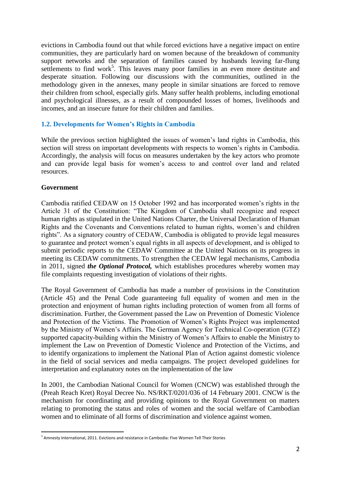evictions in Cambodia found out that while forced evictions have a negative impact on entire communities, they are particularly hard on women because of the breakdown of community support networks and the separation of families caused by husbands leaving far-flung settlements to find work<sup>5</sup>. This leaves many poor families in an even more destitute and desperate situation. Following our discussions with the communities, outlined in the methodology given in the annexes, many people in similar situations are forced to remove their children from school, especially girls. Many suffer health problems, including emotional and psychological illnesses, as a result of compounded losses of homes, livelihoods and incomes, and an insecure future for their children and families.

## **1.2. Developments for Women's Rights in Cambodia**

While the previous section highlighted the issues of women's land rights in Cambodia, this section will stress on important developments with respects to women's rights in Cambodia. Accordingly, the analysis will focus on measures undertaken by the key actors who promote and can provide legal basis for women's access to and control over land and related resources.

#### **Government**

Cambodia ratified CEDAW on 15 October 1992 and has incorporated women's rights in the Article 31 of the Constitution: "The Kingdom of Cambodia shall recognize and respect human rights as stipulated in the United Nations Charter, the Universal Declaration of Human Rights and the Covenants and Conventions related to human rights, women's and children rights". As a signatory country of CEDAW, Cambodia is obligated to provide legal measures to guarantee and protect women's equal rights in all aspects of development, and is obliged to submit periodic reports to the CEDAW Committee at the United Nations on its progress in meeting its CEDAW commitments. To strengthen the CEDAW legal mechanisms, Cambodia in 2011, signed *the Optional Protocol,* which establishes procedures whereby women may file complaints requesting investigation of violations of their rights.

The Royal Government of Cambodia has made a number of provisions in the Constitution (Article 45) and the Penal Code guaranteeing full equality of women and men in the protection and enjoyment of human rights including protection of women from all forms of discrimination. Further, the Government passed the Law on Prevention of Domestic Violence and Protection of the Victims. The Promotion of Women's Rights Project was implemented by the Ministry of Women's Affairs. The German Agency for Technical Co-operation (GTZ) supported capacity-building within the Ministry of Women's Affairs to enable the Ministry to implement the Law on Prevention of Domestic Violence and Protection of the Victims, and to identify organizations to implement the National Plan of Action against domestic violence in the field of social services and media campaigns. The project developed guidelines for interpretation and explanatory notes on the implementation of the law

In 2001, the Cambodian National Council for Women (CNCW) was established through the (Preah Reach Kret) Royal Decree No. NS/RKT/0201/036 of 14 February 2001. CNCW is the mechanism for coordinating and providing opinions to the Royal Government on matters relating to promoting the status and roles of women and the social welfare of Cambodian women and to eliminate of all forms of discrimination and violence against women.

 5 Amnesty International, 2011. Evictions and resistance in Cambodia: Five Women Tell Their Stories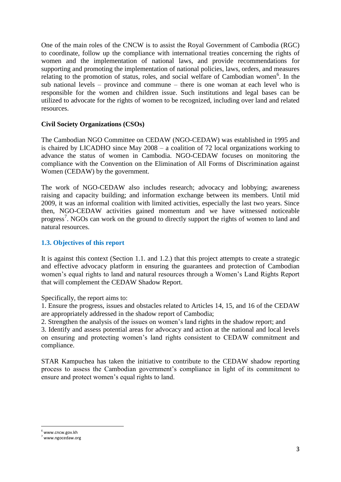One of the main roles of the CNCW is to assist the Royal Government of Cambodia (RGC) to coordinate, follow up the compliance with international treaties concerning the rights of women and the implementation of national laws, and provide recommendations for supporting and promoting the implementation of national policies, laws, orders, and measures relating to the promotion of status, roles, and social welfare of Cambodian women<sup>6</sup>. In the sub national levels – province and commune – there is one woman at each level who is responsible for the women and children issue. Such institutions and legal bases can be utilized to advocate for the rights of women to be recognized, including over land and related resources.

## **Civil Society Organizations (CSOs)**

The Cambodian NGO Committee on CEDAW (NGO-CEDAW) was established in 1995 and is chaired by LICADHO since May 2008 – a coalition of 72 local organizations working to advance the status of women in Cambodia. NGO-CEDAW focuses on monitoring the compliance with the Convention on the Elimination of All Forms of Discrimination against Women (CEDAW) by the government.

The work of NGO-CEDAW also includes research; advocacy and lobbying; awareness raising and capacity building; and information exchange between its members. Until mid 2009, it was an informal coalition with limited activities, especially the last two years. Since then, NGO-CEDAW activities gained momentum and we have witnessed noticeable progress<sup>7</sup>. NGOs can work on the ground to directly support the rights of women to land and natural resources.

#### **1.3. Objectives of this report**

It is against this context (Section 1.1. and 1.2.) that this project attempts to create a strategic and effective advocacy platform in ensuring the guarantees and protection of Cambodian women's equal rights to land and natural resources through a Women's Land Rights Report that will complement the CEDAW Shadow Report.

Specifically, the report aims to:

1. Ensure the progress, issues and obstacles related to Articles 14, 15, and 16 of the CEDAW are appropriately addressed in the shadow report of Cambodia;

2. Strengthen the analysis of the issues on women's land rights in the shadow report; and

3. Identify and assess potential areas for advocacy and action at the national and local levels on ensuring and protecting women's land rights consistent to CEDAW commitment and compliance.

STAR Kampuchea has taken the initiative to contribute to the CEDAW shadow reporting process to assess the Cambodian government's compliance in light of its commitment to ensure and protect women's equal rights to land.

<sup>-</sup><sup>6</sup> www.cncw.gov.kh

<sup>7</sup> www.ngocedaw.org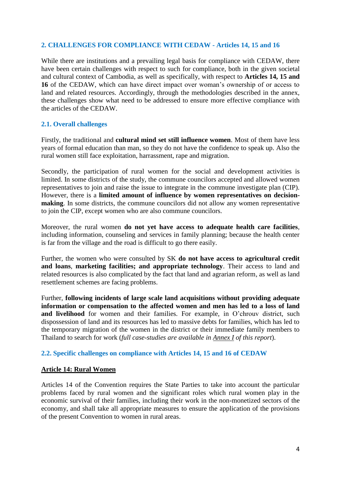## **2. CHALLENGES FOR COMPLIANCE WITH CEDAW - Articles 14, 15 and 16**

While there are institutions and a prevailing legal basis for compliance with CEDAW, there have been certain challenges with respect to such for compliance, both in the given societal and cultural context of Cambodia, as well as specifically, with respect to **Articles 14, 15 and 16** of the CEDAW, which can have direct impact over woman's ownership of or access to land and related resources. Accordingly, through the methodologies described in the annex, these challenges show what need to be addressed to ensure more effective compliance with the articles of the CEDAW.

## **2.1. Overall challenges**

Firstly, the traditional and **cultural mind set still influence women**. Most of them have less years of formal education than man, so they do not have the confidence to speak up. Also the rural women still face exploitation, harrassment, rape and migration.

Secondly, the participation of rural women for the social and development activities is limited. In some districts of the study, the commune councilors accepted and allowed women representatives to join and raise the issue to integrate in the commune investigate plan (CIP). However, there is a **limited amount of influence by women representatives on decisionmaking**. In some districts, the commune councilors did not allow any women representative to join the CIP, except women who are also commune councilors.

Moreover, the rural women **do not yet have access to adequate health care facilities**, including information, counseling and services in family planning; because the health center is far from the village and the road is difficult to go there easily.

Further, the women who were consulted by SK **do not have access to agricultural credit and loans**, **marketing facilities; and appropriate technology**. Their access to land and related resources is also complicated by the fact that land and agrarian reform, as well as land resettlement schemes are facing problems.

Further, **following incidents of large scale land acquisitions without providing adequate information or compensation to the affected women and men has led to a loss of land and livelihood** for women and their families. For example, in O'chrouv district, such dispossession of land and its resources has led to massive debts for families, which has led to the temporary migration of the women in the district or their immediate family members to Thailand to search for work (*full case-studies are available in Annex I of this report*).

## **2.2. Specific challenges on compliance with Articles 14, 15 and 16 of CEDAW**

## **Article 14: Rural Women**

Articles 14 of the Convention requires the State Parties to take into account the particular problems faced by rural women and the significant roles which rural women play in the economic survival of their families, including their work in the non-monetized sectors of the economy, and shall take all appropriate measures to ensure the application of the provisions of the present Convention to women in rural areas.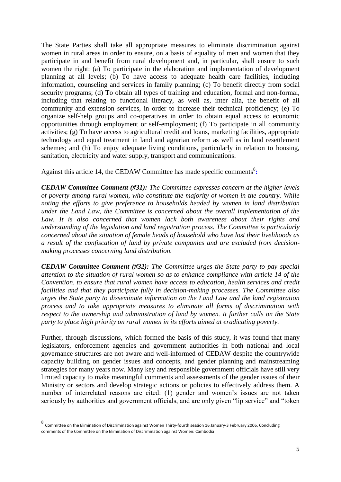The State Parties shall take all appropriate measures to eliminate discrimination against women in rural areas in order to ensure, on a basis of equality of men and women that they participate in and benefit from rural development and, in particular, shall ensure to such women the right: (a) To participate in the elaboration and implementation of development planning at all levels; (b) To have access to adequate health care facilities, including information, counseling and services in family planning; (c) To benefit directly from social security programs; (d) To obtain all types of training and education, formal and non-formal, including that relating to functional literacy, as well as, inter alia, the benefit of all community and extension services, in order to increase their technical proficiency; (e) To organize self-help groups and co-operatives in order to obtain equal access to economic opportunities through employment or self-employment; (f) To participate in all community activities; (g) To have access to agricultural credit and loans, marketing facilities, appropriate technology and equal treatment in land and agrarian reform as well as in land resettlement schemes; and (h) To enjoy adequate living conditions, particularly in relation to housing, sanitation, electricity and water supply, transport and communications.

Against this article 14, the CEDAW Committee has made specific comments<sup>8</sup>:

*CEDAW Committee Comment (#31): The Committee expresses concern at the higher levels of poverty among rural women, who constitute the majority of women in the country. While noting the efforts to give preference to households headed by women in land distribution under the Land Law, the Committee is concerned about the overall implementation of the*  Law. It is also concerned that women lack both awareness about their rights and *understanding of the legislation and land registration process. The Committee is particularly concerned about the situation of female heads of household who have lost their livelihoods as a result of the confiscation of land by private companies and are excluded from decisionmaking processes concerning land distribution.*

*CEDAW Committee Comment (#32): The Committee urges the State party to pay special attention to the situation of rural women so as to enhance compliance with article 14 of the Convention, to ensure that rural women have access to education, health services and credit facilities and that they participate fully in decision-making processes. The Committee also urges the State party to disseminate information on the Land Law and the land registration process and to take appropriate measures to eliminate all forms of discrimination with respect to the ownership and administration of land by women. It further calls on the State party to place high priority on rural women in its efforts aimed at eradicating poverty.*

Further, through discussions, which formed the basis of this study, it was found that many legislators, enforcement agencies and government authorities in both national and local governance structures are not aware and well-informed of CEDAW despite the countrywide capacity building on gender issues and concepts, and gender planning and mainstreaming strategies for many years now. Many key and responsible government officials have still very limited capacity to make meaningful comments and assessments of the gender issues of their Ministry or sectors and develop strategic actions or policies to effectively address them. A number of interrelated reasons are cited: (1) gender and women's issues are not taken seriously by authorities and government officials, and are only given "lip service" and "token

-

<sup>8</sup> Committee on the Elimination of Discrimination against Women Thirty-fourth session 16 January-3 February 2006, Concluding comments of the Committee on the Elimination of Discrimination against Women: Cambodia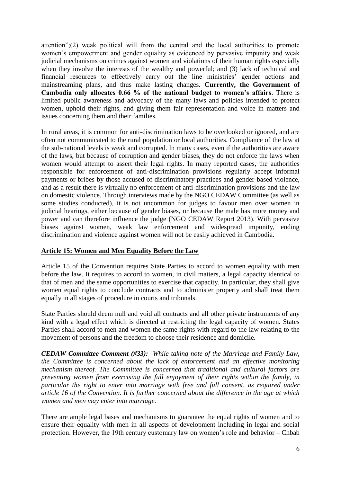attention";(2) weak political will from the central and the local authorities to promote women's empowerment and gender equality as evidenced by pervasive impunity and weak judicial mechanisms on crimes against women and violations of their human rights especially when they involve the interests of the wealthy and powerful; and (3) lack of technical and financial resources to effectively carry out the line ministries' gender actions and mainstreaming plans, and thus make lasting changes. **Currently, the Government of Cambodia only allocates 0.66 % of the national budget to women's affairs**. There is limited public awareness and advocacy of the many laws and policies intended to protect women, uphold their rights, and giving them fair representation and voice in matters and issues concerning them and their families.

In rural areas, it is common for anti-discrimination laws to be overlooked or ignored, and are often not communicated to the rural population or local authorities. Compliance of the law at the sub-national levels is weak and corrupted. In many cases, even if the authorities are aware of the laws, but because of corruption and gender biases, they do not enforce the laws when women would attempt to assert their legal rights. In many reported cases, the authorities responsible for enforcement of anti-discrimination provisions regularly accept informal payments or bribes by those accused of discriminatory practices and gender-based violence, and as a result there is virtually no enforcement of anti-discrimination provisions and the law on domestic violence. Through interviews made by the NGO CEDAW Committee (as well as some studies conducted), it is not uncommon for judges to favour men over women in judicial hearings, either because of gender biases, or because the male has more money and power and can therefore influence the judge (NGO CEDAW Report 2013). With pervasive biases against women, weak law enforcement and widespread impunity, ending discrimination and violence against women will not be easily achieved in Cambodia.

## **Article 15: Women and Men Equality Before the Law**

Article 15 of the Convention requires State Parties to accord to women equality with men before the law. It requires to accord to women, in civil matters, a legal capacity identical to that of men and the same opportunities to exercise that capacity. In particular, they shall give women equal rights to conclude contracts and to administer property and shall treat them equally in all stages of procedure in courts and tribunals.

State Parties should deem null and void all contracts and all other private instruments of any kind with a legal effect which is directed at restricting the legal capacity of women. States Parties shall accord to men and women the same rights with regard to the law relating to the movement of persons and the freedom to choose their residence and domicile.

*CEDAW Committee Comment (#33): While taking note of the Marriage and Family Law, the Committee is concerned about the lack of enforcement and an effective monitoring mechanism thereof. The Committee is concerned that traditional and cultural factors are preventing women from exercising the full enjoyment of their rights within the family, in particular the right to enter into marriage with free and full consent, as required under article 16 of the Convention. It is further concerned about the difference in the age at which women and men may enter into marriage.*

There are ample legal bases and mechanisms to guarantee the equal rights of women and to ensure their equality with men in all aspects of development including in legal and social protection. However, the 19th century customary law on women's role and behavior – Chbab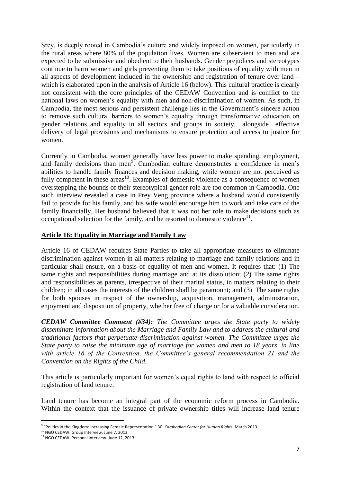Srey, is deeply rooted in Cambodia's culture and widely imposed on women, particularly in the rural areas where 80% of the population lives. Women are subservient to men and are expected to be submissive and obedient to their husbands. Gender prejudices and stereotypes continue to harm women and girls preventing them to take positions of equality with men in all aspects of development included in the ownership and registration of tenure over land – which is elaborated upon in the analysis of Article 16 (below). This cultural practice is clearly not consistent with the core principles of the CEDAW Convention and is conflict to the national laws on women's equality with men and non-discrimination of women. As such, in Cambodia, the most serious and persistent challenge lies in the Government's sincere action to remove such cultural barriers to women's equality through transformative education on gender relations and equality in all sectors and groups in society, alongside effective delivery of legal provisions and mechanisms to ensure protection and access to justice for women.

Currently in Cambodia, women generally have less power to make spending, employment, and family decisions than men<sup>9</sup>. Cambodian culture demonstrates a confidence in men's abilities to handle family finances and decision making, while women are not perceived as fully competent in these areas<sup>10</sup>. Examples of domestic violence as a consequence of women overstepping the bounds of their stereotypical gender role are too common in Cambodia. One such interview revealed a case in Prey Veng province where a husband would consistently fail to provide for his family, and his wife would encourage him to work and take care of the family financially. Her husband believed that it was not her role to make decisions such as occupational selection for the family, and he resorted to domestic violence $11$ .

#### **Article 16: Equality in Marriage and Family Law**

Article 16 of CEDAW requires State Parties to take all appropriate measures to eliminate discrimination against women in all matters relating to marriage and family relations and in particular shall ensure, on a basis of equality of men and women. It requires that: (1) The same rights and responsibilities during marriage and at its dissolution; (2) The same rights and responsibilities as parents, irrespective of their marital status, in matters relating to their children; in all cases the interests of the children shall be paramount; and (3) The same rights for both spouses in respect of the ownership, acquisition, management, administration, enjoyment and disposition of property, whether free of charge or for a valuable consideration.

*CEDAW Committee Comment (#34): The Committee urges the State party to widely disseminate information about the Marriage and Family Law and to address the cultural and traditional factors that perpetuate discrimination against women. The Committee urges the State party to raise the minimum age of marriage for women and men to 18 years, in line with article 16 of the Convention, the Committee's general recommendation 21 and the Convention on the Rights of the Child.*

This article is particularly important for women's equal rights to land with respect to official registration of land tenure.

Land tenure has become an integral part of the economic reform process in Cambodia. Within the context that the issuance of private ownership titles will increase land tenure

 9 "Politics in the Kingdom: Increasing Female Representation." 30. *Cambodian Center for Human Rights.* March 2013.

<sup>&</sup>lt;sup>10</sup> NGO CEDAW. Group Interview. June 7, 2013.

<sup>&</sup>lt;sup>11</sup> NGO CEDAW. Personal Interview. June 12, 2013.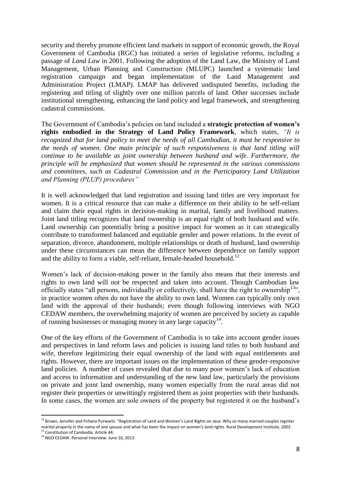security and thereby promote efficient land markets in support of economic growth, the Royal Government of Cambodia (RGC) has initiated a series of legislative reforms, including a passage of *Land Law* in 2001. Following the adoption of the Land Law, the Ministry of Land Management, Urban Planning and Construction (MLUPC) launched a systematic land registration campaign and began implementation of the Land Management and Administration Project (LMAP). LMAP has delivered undisputed benefits, including the registering and titling of slightly over one million parcels of land. Other successes include institutional strengthening, enhancing the land policy and legal framework, and strengthening cadastral commissions.

The Government of Cambodia's policies on land included a **strategic protection of women's rights embodied in the Strategy of Land Policy Framework**, which states, *"It is recognized that for land policy to meet the needs of all Cambodian, it must be responsive to the needs of women. One main principle of such responsiveness is that land titling will continue to be available as joint ownership between husband and wife. Furthermore, the principle will be emphasized that women should be represented in the various commissions and committees, such as Cadastral Commission and in the Participatory Land Utilization and Planning (PLUP) procedures"*

It is well acknowledged that land registration and issuing land titles are very important for women. It is a critical resource that can make a difference on their ability to be self-reliant and claim their equal rights in decision-making in marital, family and livelihood matters. Joint land titling recognizes that land ownership is an equal right of both husband and wife. Land ownership can potentially bring a positive impact for women as it can strategically contribute to transformed balanced and equitable gender and power relations. In the event of separation, divorce, abandonment, multiple relationships or death of husband, land ownership under these circumstances can mean the difference between dependence on family support and the ability to form a viable, self-reliant, female-headed household.<sup>12</sup>

Women's lack of decision-making power in the family also means that their interests and rights to own land will not be respected and taken into account. Though Cambodian law officially states "all persons, individually or collectively, shall have the right to ownership<sup>13</sup>", in practice women often do not have the ability to own land. Women can typically only own land with the approval of their husbands; even though following interviews with NGO CEDAW members, the overwhelming majority of women are perceived by society as capable of running businesses or managing money in any large capacity $14$ .

One of the key efforts of the Government of Cambodia is to take into account gender issues and perspectives in land reform laws and policies is issuing land titles to both husband and wife, therefore legitimizing their equal ownership of the land with equal entitlements and rights. However, there are important issues on the implementation of these gender-responsive land policies. A number of cases revealed that due to many poor women's lack of education and access to information and understanding of the new land law, particularly the provisions on private and joint land ownership, many women especially from the rural areas did not register their properties or unwittingly registered them as joint properties with their husbands. In some cases, the women are sole owners of the property but registered it on the husband's

-

 $^{12}$  Brown, Jennifer and Firliana Purwanti. "Registration of Land and Women's Land Rights on Java: Why so many married couples register marital property in the name of one spouse and what has been the impact on women's land rights. Rural Development Institute, 2002. <sup>13</sup> Constitution of Cambodia. Article 44.

<sup>&</sup>lt;sup>14</sup> NGO CEDAW. Personal Interview. June 10, 2013.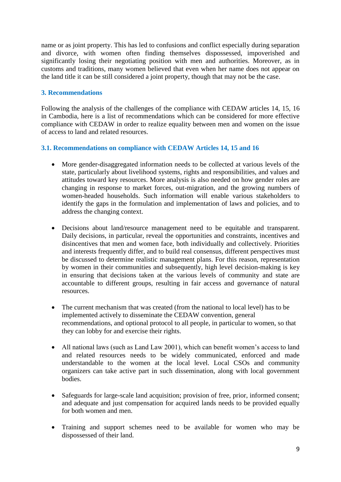name or as joint property. This has led to confusions and conflict especially during separation and divorce, with women often finding themselves dispossessed, impoverished and significantly losing their negotiating position with men and authorities. Moreover, as in customs and traditions, many women believed that even when her name does not appear on the land title it can be still considered a joint property, though that may not be the case.

## **3. Recommendations**

Following the analysis of the challenges of the compliance with CEDAW articles 14, 15, 16 in Cambodia, here is a list of recommendations which can be considered for more effective compliance with CEDAW in order to realize equality between men and women on the issue of access to land and related resources.

#### **3.1. Recommendations on compliance with CEDAW Articles 14, 15 and 16**

- More gender-disaggregated information needs to be collected at various levels of the state, particularly about livelihood systems, rights and responsibilities, and values and attitudes toward key resources. More analysis is also needed on how gender roles are changing in response to market forces, out-migration, and the growing numbers of women-headed households. Such information will enable various stakeholders to identify the gaps in the formulation and implementation of laws and policies, and to address the changing context.
- Decisions about land/resource management need to be equitable and transparent. Daily decisions, in particular, reveal the opportunities and constraints, incentives and disincentives that men and women face, both individually and collectively. Priorities and interests frequently differ, and to build real consensus, different perspectives must be discussed to determine realistic management plans. For this reason, representation by women in their communities and subsequently, high level decision-making is key in ensuring that decisions taken at the various levels of community and state are accountable to different groups, resulting in fair access and governance of natural resources.
- The current mechanism that was created (from the national to local level) has to be implemented actively to disseminate the CEDAW convention, general recommendations, and optional protocol to all people, in particular to women, so that they can lobby for and exercise their rights.
- All national laws (such as Land Law 2001), which can benefit women's access to land and related resources needs to be widely communicated, enforced and made understandable to the women at the local level. Local CSOs and community organizers can take active part in such dissemination, along with local government bodies.
- Safeguards for large-scale land acquisition; provision of free, prior, informed consent; and adequate and just compensation for acquired lands needs to be provided equally for both women and men.
- Training and support schemes need to be available for women who may be dispossessed of their land.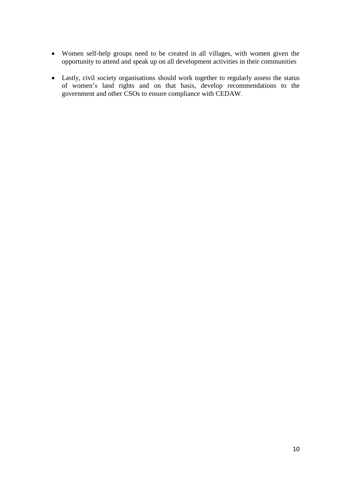- Women self-help groups need to be created in all villages, with women given the opportunity to attend and speak up on all development activities in their communities
- Lastly, civil society organisations should work together to regularly assess the status of women's land rights and on that basis, develop recommendations to the government and other CSOs to ensure compliance with CEDAW.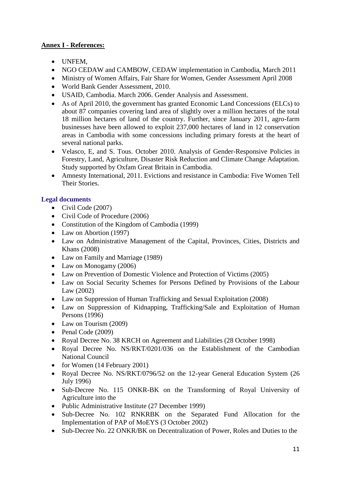# **Annex I - References:**

- UNFEM,
- NGO CEDAW and CAMBOW, CEDAW implementation in Cambodia, March 2011
- Ministry of Women Affairs, Fair Share for Women, Gender Assessment April 2008
- World Bank Gender Assessment, 2010.
- USAID, Cambodia. March 2006. Gender Analysis and Assessment.
- As of April 2010, the government has granted Economic Land Concessions (ELCs) to about 87 companies covering land area of slightly over a million hectares of the total 18 million hectares of land of the country. Further, since January 2011, agro-farm businesses have been allowed to exploit 237,000 hectares of land in 12 conservation areas in Cambodia with some concessions including primary forests at the heart of several national parks.
- Velasco, E, and S. Tous. October 2010. Analysis of Gender-Responsive Policies in Forestry, Land, Agriculture, Disaster Risk Reduction and Climate Change Adaptation. Study supported by Oxfam Great Britain in Cambodia.
- Amnesty International, 2011. Evictions and resistance in Cambodia: Five Women Tell Their Stories.

## **Legal documents**

- $\bullet$  Civil Code (2007)
- Civil Code of Procedure (2006)
- Constitution of the Kingdom of Cambodia (1999)
- Law on Abortion (1997)
- Law on Administrative Management of the Capital, Provinces, Cities, Districts and Khans (2008)
- Law on Family and Marriage (1989)
- Law on Monogamy (2006)
- Law on Prevention of Domestic Violence and Protection of Victims (2005)
- Law on Social Security Schemes for Persons Defined by Provisions of the Labour Law (2002)
- Law on Suppression of Human Trafficking and Sexual Exploitation (2008)
- Law on Suppression of Kidnapping, Trafficking/Sale and Exploitation of Human Persons (1996)
- Law on Tourism (2009)
- $\bullet$  Penal Code (2009)
- Royal Decree No. 38 KRCH on Agreement and Liabilities (28 October 1998)
- Royal Decree No. NS/RKT/0201/036 on the Establishment of the Cambodian National Council
- for Women (14 February 2001)
- Royal Decree No. NS/RKT/0796/52 on the 12-year General Education System (26) July 1996)
- Sub-Decree No. 115 ONKR-BK on the Transforming of Royal University of Agriculture into the
- Public Administrative Institute (27 December 1999)
- Sub-Decree No. 102 RNKRBK on the Separated Fund Allocation for the Implementation of PAP of MoEYS (3 October 2002)
- Sub-Decree No. 22 ONKR/BK on Decentralization of Power, Roles and Duties to the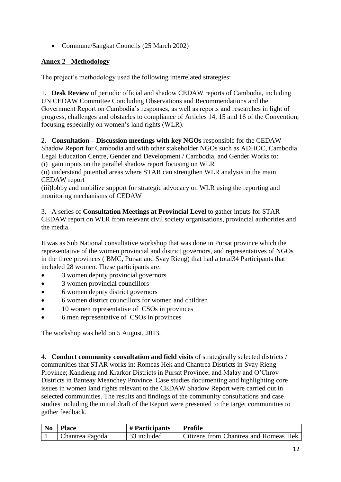• Commune/Sangkat Councils (25 March 2002)

# **Annex 2 - Methodology**

The project's methodology used the following interrelated strategies:

1. **Desk Review** of periodic official and shadow CEDAW reports of Cambodia, including UN CEDAW Committee Concluding Observations and Recommendations and the Government Report on Cambodia's responses, as well as reports and researches in light of progress, challenges and obstacles to compliance of Articles 14, 15 and 16 of the Convention, focusing especially on women's land rights (WLR).

# 2. **Consultation – Discussion meetings with key NGOs** responsible for the CEDAW

Shadow Report for Cambodia and with other stakeholder NGOs such as ADHOC, Cambodia Legal Education Centre, Gender and Development / Cambodia, and Gender Works to:

(i) gain inputs on the parallel shadow report focusing on WLR

(ii) understand potential areas where STAR can strengthen WLR analysis in the main CEDAW report

(iii)lobby and mobilize support for strategic advocacy on WLR using the reporting and monitoring mechanisms of CEDAW

3. A series of **Consultation Meetings at Provincial Level** to gather inputs for STAR CEDAW report on WLR from relevant civil society organisations, provincial authorities and the media.

It was as Sub National consultative workshop that was done in Pursat province which the representative of the women provincial and district governors, and representatives of NGOs in the three provinces ( BMC, Pursat and Svay Rieng) that had a total34 Participants that included 28 women. These participants are:

- 3 women deputy provincial governors
- 3 women provincial councillors
- 6 women deputy district governors
- 6 women district councillors for women and children
- 10 women representative of CSOs in provinces
- 6 men representative of CSOs in provinces

The workshop was held on 5 August, 2013.

4. **Conduct community consultation and field visits** of strategically selected districts / communities that STAR works in: Romeas Hek and Chantrea Districts in Svay Rieng Province; Kandieng and Krarkor Districts in Pursat Province; and Malay and O'Chrov Districts in Banteay Meanchey Province. Case studies documenting and highlighting core issues in women land rights relevant to the CEDAW Shadow Report were carried out in selected communities. The results and findings of the community consultations and case studies including the initial draft of the Report were presented to the target communities to gather feedback.

| N <sub>0</sub> | <b>Place</b>    | # Participants | <b>Profile</b>                        |
|----------------|-----------------|----------------|---------------------------------------|
|                | Chantrea Pagoda | 33 included    | Citizens from Chantrea and Romeas Hek |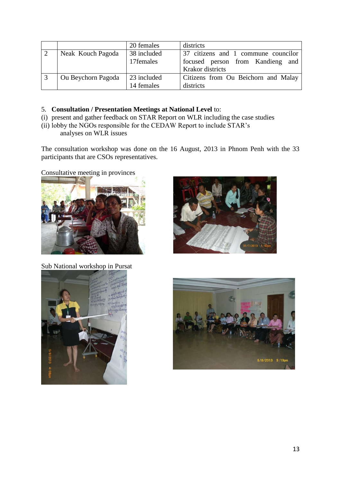|                    | 20 females  | districts                           |
|--------------------|-------------|-------------------------------------|
| Neak Kouch Pagoda  | 38 included | 37 citizens and 1 commune councilor |
|                    | 17 females  | focused person from Kandieng and    |
|                    |             | Krakor districts                    |
| Ou Beychorn Pagoda | 23 included | Citizens from Ou Beichorn and Malay |
|                    | 14 females  | districts                           |

#### 5. **Consultation / Presentation Meetings at National Level** to:

- (i) present and gather feedback on STAR Report on WLR including the case studies
- (ii) lobby the NGOs responsible for the CEDAW Report to include STAR's

analyses on WLR issues

The consultation workshop was done on the 16 August, 2013 in Phnom Penh with the 33 participants that are CSOs representatives.

Consultative meeting in provinces





Sub National workshop in Pursat



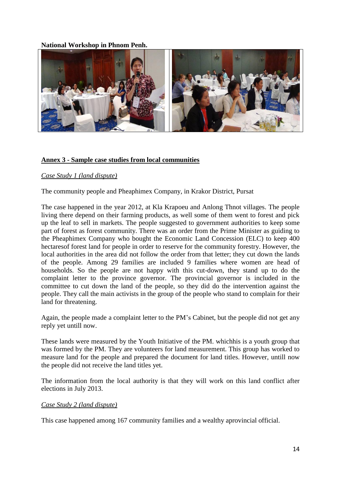#### **National Workshop in Phnom Penh.**



#### **Annex 3 - Sample case studies from local communities**

#### *Case Study 1 (land dispute)*

The community people and Pheaphimex Company, in Krakor District, Pursat

The case happened in the year 2012, at Kla Krapoeu and Anlong Thnot villages. The people living there depend on their farming products, as well some of them went to forest and pick up the leaf to sell in markets. The people suggested to government authorities to keep some part of forest as forest community. There was an order from the Prime Minister as guiding to the Pheaphimex Company who bought the Economic Land Concession (ELC) to keep 400 hectaresof forest land for people in order to reserve for the community forestry. However, the local authorities in the area did not follow the order from that letter; they cut down the lands of the people. Among 29 families are included 9 families where women are head of households. So the people are not happy with this cut-down, they stand up to do the complaint letter to the province governor. The provincial governor is included in the committee to cut down the land of the people, so they did do the intervention against the people. They call the main activists in the group of the people who stand to complain for their land for threatening.

Again, the people made a complaint letter to the PM's Cabinet, but the people did not get any reply yet untill now.

These lands were measured by the Youth Initiative of the PM. whichhis is a youth group that was formed by the PM. They are volunteers for land measurement. This group has worked to measure land for the people and prepared the document for land titles. However, untill now the people did not receive the land titles yet.

The information from the local authority is that they will work on this land conflict after elections in July 2013.

#### *Case Study 2 (land dispute)*

This case happened among 167 community families and a wealthy aprovincial official.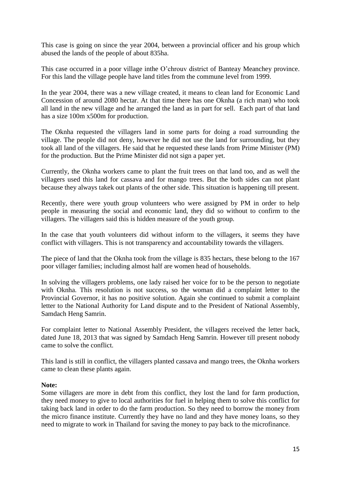This case is going on since the year 2004, between a provincial officer and his group which abused the lands of the people of about 835ha.

This case occurred in a poor village inthe O'chrouv district of Banteay Meanchey province. For this land the village people have land titles from the commune level from 1999.

In the year 2004, there was a new village created, it means to clean land for Economic Land Concession of around 2080 hectar. At that time there has one Oknha (a rich man) who took all land in the new village and he arranged the land as in part for sell. Each part of that land has a size 100m x500m for production.

The Oknha requested the villagers land in some parts for doing a road surrounding the village. The people did not deny, however he did not use the land for surrounding, but they took all land of the villagers. He said that he requested these lands from Prime Minister (PM) for the production. But the Prime Minister did not sign a paper yet.

Currently, the Oknha workers came to plant the fruit trees on that land too, and as well the villagers used this land for cassava and for mango trees. But the both sides can not plant because they always takek out plants of the other side. This situation is happening till present.

Recently, there were youth group volunteers who were assigned by PM in order to help people in measuring the social and economic land, they did so without to confirm to the villagers. The villagers said this is hidden measure of the youth group.

In the case that youth volunteers did without inform to the villagers, it seems they have conflict with villagers. This is not transparency and accountability towards the villagers.

The piece of land that the Oknha took from the village is 835 hectars, these belong to the 167 poor villager families; including almost half are women head of households.

In solving the villagers problems, one lady raised her voice for to be the person to negotiate with Oknha. This resolution is not success, so the woman did a complaint letter to the Provincial Governor, it has no positive solution. Again she continued to submit a complaint letter to the National Authority for Land dispute and to the President of National Assembly, Samdach Heng Samrin.

For complaint letter to National Assembly President, the villagers received the letter back, dated June 18, 2013 that was signed by Samdach Heng Samrin. However till present nobody came to solve the conflict.

This land is still in conflict, the villagers planted cassava and mango trees, the Oknha workers came to clean these plants again.

#### **Note:**

Some villagers are more in debt from this conflict, they lost the land for farm production, they need money to give to local authorities for fuel in helping them to solve this conflict for taking back land in order to do the farm production. So they need to borrow the money from the micro finance institute. Currently they have no land and they have money loans, so they need to migrate to work in Thailand for saving the money to pay back to the microfinance.